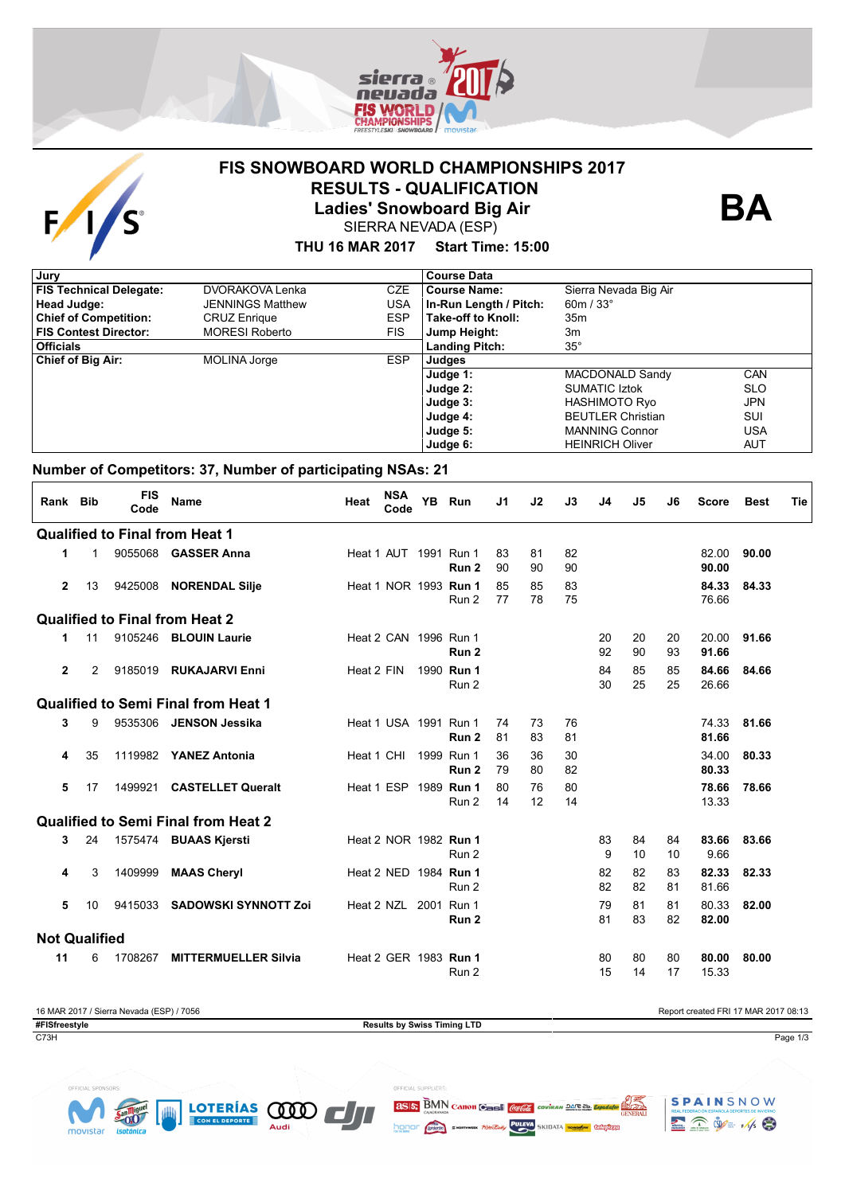

# **FIS SNOWBOARD WORLD CHAMPIONSHIPS 2017 RESULTS - QUALIFICATION**



**Ladies' Snowboard Big Air**

SIERRA NEVADA (ESP)

#### **THU 16 MAR 2017 Start Time: 15:00**

| , Jury                         |                         |            | <b>Course Data</b>     |                          |            |
|--------------------------------|-------------------------|------------|------------------------|--------------------------|------------|
| <b>FIS Technical Delegate:</b> | DVORAKOVA Lenka         | CZE        | <b>Course Name:</b>    | Sierra Nevada Big Air    |            |
| Head Judge:                    | <b>JENNINGS Matthew</b> | USA        | In-Run Length / Pitch: | 60m / $33^\circ$         |            |
| <b>Chief of Competition:</b>   | <b>CRUZ Enrique</b>     | <b>ESP</b> | Take-off to Knoll:     | 35m                      |            |
| <b>FIS Contest Director:</b>   | <b>MORESI Roberto</b>   | <b>FIS</b> | Jump Height:           | 3m                       |            |
| <b>Officials</b>               |                         |            | <b>Landing Pitch:</b>  | $35^{\circ}$             |            |
| <b>Chief of Big Air:</b>       | <b>MOLINA Jorge</b>     | <b>ESP</b> | Judges                 |                          |            |
|                                |                         |            | Judge 1:               | MACDONALD Sandy          | CAN        |
|                                |                         |            | Judge 2:               | <b>SUMATIC Iztok</b>     | <b>SLO</b> |
|                                |                         |            | Judge 3:               | <b>HASHIMOTO Ryo</b>     | <b>JPN</b> |
|                                |                         |            | Judge 4:               | <b>BEUTLER Christian</b> | SUI        |
|                                |                         |            | Judge 5:               | <b>MANNING Connor</b>    | USA        |
|                                |                         |            | Judge 6:               | <b>HEINRICH Oliver</b>   | AUT        |

### **Number of Competitors: 37, Number of participating NSAs: 21**

| Rank Bib             |              | <b>FIS</b><br>Code | Name                                       | Heat       | <b>NSA</b><br>Code           | <b>YB</b> | Run                 | J <sub>1</sub> | J2       | J3       | J4       | J5       | J6       | <b>Score</b>   | <b>Best</b> | Tie |
|----------------------|--------------|--------------------|--------------------------------------------|------------|------------------------------|-----------|---------------------|----------------|----------|----------|----------|----------|----------|----------------|-------------|-----|
|                      |              |                    | <b>Qualified to Final from Heat 1</b>      |            |                              |           |                     |                |          |          |          |          |          |                |             |     |
| 1                    | $\mathbf{1}$ |                    | 9055068 <b>GASSER Anna</b>                 |            | Heat 1 AUT 1991 Run 1        |           | Run 2               | 83<br>90       | 81<br>90 | 82<br>90 |          |          |          | 82.00<br>90.00 | 90.00       |     |
| $\overline{2}$       | 13           | 9425008            | <b>NORENDAL Silje</b>                      |            | Heat 1 NOR 1993 <b>Run 1</b> |           | Run 2               | 85<br>77       | 85<br>78 | 83<br>75 |          |          |          | 84.33<br>76.66 | 84.33       |     |
|                      |              |                    | <b>Qualified to Final from Heat 2</b>      |            |                              |           |                     |                |          |          |          |          |          |                |             |     |
| 1                    | 11           |                    | 9105246 BLOUIN Laurie                      |            | Heat 2 CAN 1996 Run 1        |           | Run <sub>2</sub>    |                |          |          | 20<br>92 | 20<br>90 | 20<br>93 | 20.00<br>91.66 | 91.66       |     |
| $\mathbf{2}$         | 2            | 9185019            | <b>RUKAJARVI Enni</b>                      | Heat 2 FIN |                              |           | 1990 Run 1<br>Run 2 |                |          |          | 84<br>30 | 85<br>25 | 85<br>25 | 84.66<br>26.66 | 84.66       |     |
|                      |              |                    | <b>Qualified to Semi Final from Heat 1</b> |            |                              |           |                     |                |          |          |          |          |          |                |             |     |
| 3                    | 9            | 9535306            | JENSON Jessika                             |            | Heat 1 USA 1991 Run 1        |           | Run 2               | 74<br>81       | 73<br>83 | 76<br>81 |          |          |          | 74.33<br>81.66 | 81.66       |     |
| 4                    | 35           |                    | 1119982 YANEZ Antonia                      | Heat 1 CHI |                              |           | 1999 Run 1<br>Run 2 | 36<br>79       | 36<br>80 | 30<br>82 |          |          |          | 34.00<br>80.33 | 80.33       |     |
| 5                    | 17           | 1499921            | <b>CASTELLET Queralt</b>                   |            | Heat 1 ESP                   |           | 1989 Run 1<br>Run 2 | 80<br>14       | 76<br>12 | 80<br>14 |          |          |          | 78.66<br>13.33 | 78.66       |     |
|                      |              |                    | <b>Qualified to Semi Final from Heat 2</b> |            |                              |           |                     |                |          |          |          |          |          |                |             |     |
| 3                    | 24           |                    | 1575474 BUAAS Kjersti                      |            | Heat 2 NOR 1982 Run 1        |           | Run 2               |                |          |          | 83<br>9  | 84<br>10 | 84<br>10 | 83.66<br>9.66  | 83.66       |     |
| 4                    | 3            | 1409999            | <b>MAAS Cheryl</b>                         |            | Heat 2 NED 1984 Run 1        |           | Run 2               |                |          |          | 82<br>82 | 82<br>82 | 83<br>81 | 82.33<br>81.66 | 82.33       |     |
| 5                    | 10           | 9415033            | <b>SADOWSKI SYNNOTT Zoi</b>                |            | Heat 2 NZL 2001 Run 1        |           | Run 2               |                |          |          | 79<br>81 | 81<br>83 | 81<br>82 | 80.33<br>82.00 | 82.00       |     |
| <b>Not Qualified</b> |              |                    |                                            |            |                              |           |                     |                |          |          |          |          |          |                |             |     |
| 11                   | 6            | 1708267            | <b>MITTERMUELLER Silvia</b>                |            | Heat 2 GER 1983 Run 1        |           | Run 2               |                |          |          | 80<br>15 | 80<br>14 | 80<br>17 | 80.00<br>15.33 | 80.00       |     |

16 MAR 2017 / Sierra Nevada (ESP) / 7056 Report created FRI 17 MAR 2017 08:13 **#FISfreestyle Results by Swiss Timing LTD** C73H Page 1/3







**BA**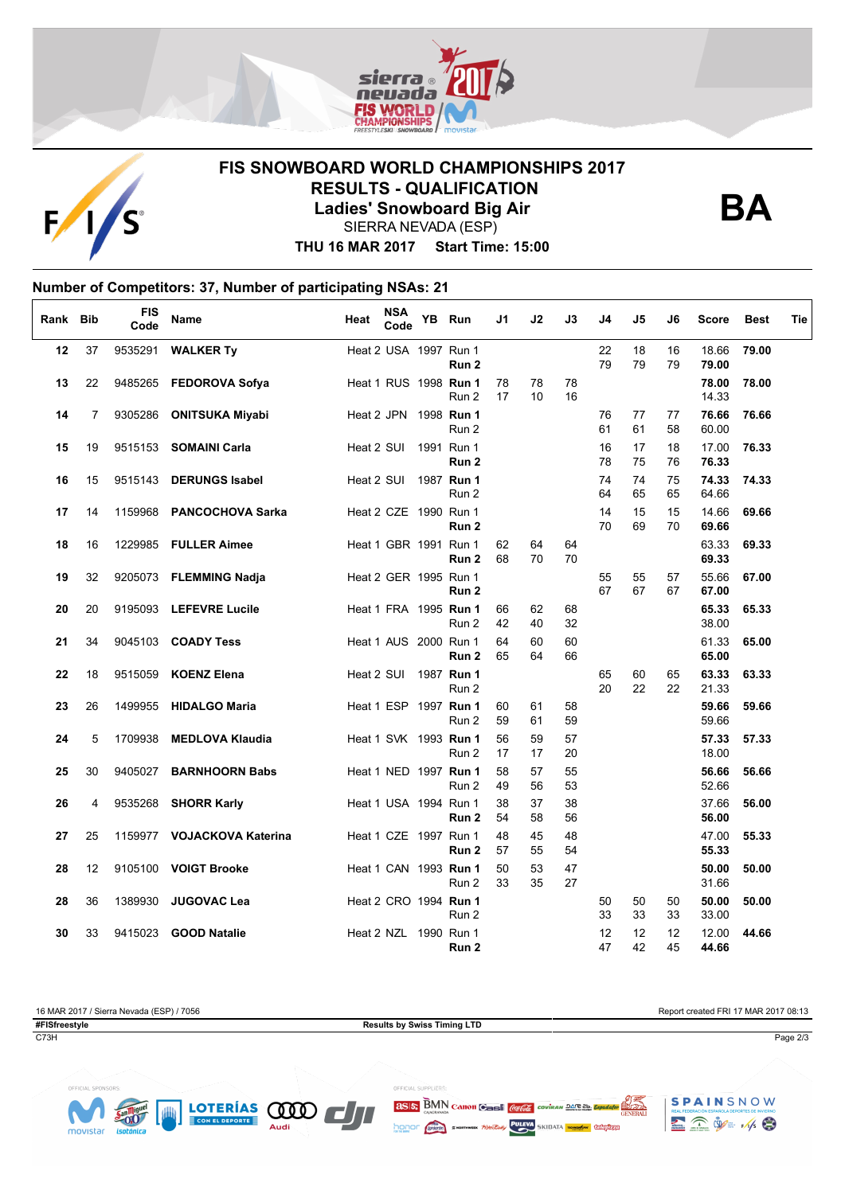



## **FIS SNOWBOARD WORLD CHAMPIONSHIPS 2017 RESULTS - QUALIFICATION Ladies' Snowboard Big Air**



SIERRA NEVADA (ESP)

**THU 16 MAR 2017 Start Time: 15:00**

#### **Number of Competitors: 37, Number of participating NSAs: 21**  $\overline{1}$

| Rank Bib |                | <b>FIS</b><br>Code | Name                       | Heat                  | <b>NSA</b><br>Code    | YB Run                                | J1       | J2       | J3             | J4             | J5       | J6       | <b>Score</b>   | <b>Best</b> | Tie |
|----------|----------------|--------------------|----------------------------|-----------------------|-----------------------|---------------------------------------|----------|----------|----------------|----------------|----------|----------|----------------|-------------|-----|
| 12       | 37             |                    | 9535291 <b>WALKER Ty</b>   | Heat 2 USA 1997 Run 1 |                       | Run 2                                 |          |          |                | 22<br>79       | 18<br>79 | 16<br>79 | 18.66<br>79.00 | 79.00       |     |
| 13       | 22             |                    | 9485265 FEDOROVA Sofya     |                       |                       | Heat 1 RUS 1998 Run 1<br>Run 2        | 78<br>17 | 78<br>10 | 78<br>16       |                |          |          | 78.00<br>14.33 | 78.00       |     |
| 14       | $\overline{7}$ |                    | 9305286 ONITSUKA Miyabi    |                       |                       | Heat 2 JPN 1998 Run 1<br>Run 2        |          |          |                | 76<br>61       | 77<br>61 | 77<br>58 | 76.66<br>60.00 | 76.66       |     |
| 15       | 19             |                    | 9515153 SOMAINI Carla      | Heat 2 SUI            |                       | 1991 Run 1<br>Run 2                   |          |          |                | 16<br>78       | 17<br>75 | 18<br>76 | 17.00<br>76.33 | 76.33       |     |
| 16       | 15             |                    | 9515143 DERUNGS Isabel     |                       |                       | Heat 2 SUI 1987 Run 1<br>Run 2        |          |          |                | 74<br>64       | 74<br>65 | 75<br>65 | 74.33<br>64.66 | 74.33       |     |
| 17       | 14             |                    | 1159968 PANCOCHOVA Sarka   | Heat 2 CZE 1990 Run 1 |                       | Run <sub>2</sub>                      |          |          |                | 14<br>70       | 15<br>69 | 15<br>70 | 14.66<br>69.66 | 69.66       |     |
| 18       | 16             |                    | 1229985 FULLER Aimee       |                       | Heat 1 GBR 1991 Run 1 | Run <sub>2</sub>                      | 62<br>68 | 64<br>70 | 64<br>70       |                |          |          | 63.33<br>69.33 | 69.33       |     |
| 19       | 32             |                    | 9205073 FLEMMING Nadja     | Heat 2 GER 1995 Run 1 |                       | Run <sub>2</sub>                      |          |          |                | 55<br>67       | 55<br>67 | 57<br>67 | 55.66<br>67.00 | 67.00       |     |
| 20       | 20             |                    | 9195093 LEFEVRE Lucile     |                       |                       | Heat 1 FRA 1995 Run 1<br>Run 2        | 66<br>42 | 62<br>40 | 68<br>32       |                |          |          | 65.33<br>38.00 | 65.33       |     |
| 21       | 34             |                    | 9045103 COADY Tess         | Heat 1 AUS 2000 Run 1 |                       | Run 2                                 | 64<br>65 | 60<br>64 | 60<br>66       |                |          |          | 61.33<br>65.00 | 65.00       |     |
| 22       | 18             |                    | 9515059 KOENZ Elena        |                       |                       | Heat 2 SUI 1987 Run 1<br>Run 2        |          |          |                | 65<br>20       | 60<br>22 | 65<br>22 | 63.33<br>21.33 | 63.33       |     |
| 23       | 26             |                    | 1499955 HIDALGO Maria      |                       |                       | Heat 1 ESP 1997 Run 1<br>Run 2        | 60<br>59 | 61<br>61 | 58<br>59       |                |          |          | 59.66<br>59.66 | 59.66       |     |
| 24       | 5              | 1709938            | <b>MEDLOVA Klaudia</b>     |                       |                       | Heat 1 SVK 1993 <b>Run 1</b><br>Run 2 | 56<br>17 | 59<br>17 | 57<br>20       |                |          |          | 57.33<br>18.00 | 57.33       |     |
| 25       | 30             | 9405027            | <b>BARNHOORN Babs</b>      |                       |                       | Heat 1 NED 1997 Run 1<br>Run 2        | 58<br>49 | 57<br>56 | 55<br>53<br>38 |                |          |          | 56.66<br>52.66 | 56.66       |     |
| 26       | 4              | 9535268            | <b>SHORR Karly</b>         |                       | Heat 1 USA 1994 Run 1 | Run <sub>2</sub>                      | 38<br>54 | 37<br>58 | 56<br>48       |                |          |          | 37.66<br>56.00 | 56.00       |     |
| 27       | 25             |                    | 1159977 VOJACKOVA Katerina |                       |                       | Heat 1 CZE 1997 Run 1<br>Run 2        | 48<br>57 | 45<br>55 | 54             |                |          |          | 47.00<br>55.33 | 55.33       |     |
| 28       | 12             |                    | 9105100 VOIGT Brooke       |                       |                       | Heat 1 CAN 1993 <b>Run 1</b><br>Run 2 | 50<br>33 | 53<br>35 | 47<br>27       |                |          |          | 50.00<br>31.66 | 50.00       |     |
| 28       | 36             |                    | 1389930 JUGOVAC Lea        |                       |                       | Heat 2 CRO 1994 Run 1<br>Run 2        |          |          |                | 50<br>33<br>12 | 50<br>33 | 50<br>33 | 50.00<br>33.00 | 50.00       |     |
| 30       | 33             |                    | 9415023 GOOD Natalie       | Heat 2 NZL 1990 Run 1 |                       | Run <sub>2</sub>                      |          |          |                | 47             | 12<br>42 | 12<br>45 | 12.00<br>44.66 | 44.66       |     |

16 MAR 2017 / Sierra Nevada (ESP) / 7056 Report created FRI 17 MAR 2017 08:13 **#FISfreestyle Results by Swiss Timing LTD** C73H Page 2/3